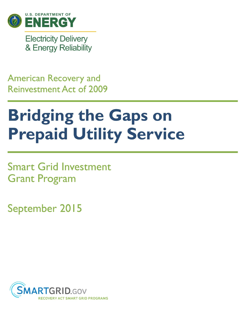

**Electricity Delivery** & Energy Reliability

## **American Recovery and Reinvestment Act of 2009**

# **Bridging the Gaps on Prepaid Utility Service**

**Smart Grid Investment Grant Program** 

September 2015

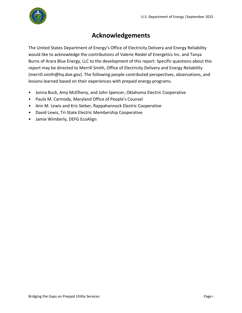

#### **Acknowledgements**

The United States Department of Energy's Office of Electricity Delivery and Energy Reliability would like to acknowledge the contributions of Valerie Riedel of Energetics Inc. and Tanya Burns of Arara Blue Energy, LLC to the development of this report. Specific questions about this report may be directed to Merrill Smith, Office of Electricity Delivery and Energy Reliability (merrill.smith@hq.doe.gov). The following people contributed perspectives, observations, and lessons learned based on their experiences with prepaid energy programs.

- Jonna Buck, Amy McElheny, and John Spencer, Oklahoma Electric Cooperative
- Paula M. Carmody, Maryland Office of People's Counsel
- Ann M. Lewis and Kris Sieber, Rappahannock Electric Cooperative
- David Lewis, Tri-State Electric Membership Cooperative
- Jamie Wimberly, DEFG EcoAlign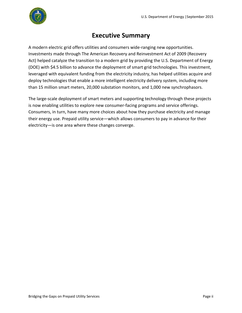

#### **Executive Summary**

<span id="page-2-0"></span>A modern electric grid offers utilities and consumers wide-ranging new opportunities. Investments made through The American Recovery and Reinvestment Act of 2009 (Recovery Act) helped catalyze the transition to a modern grid by providing the U.S. Department of Energy (DOE) with \$4.5 billion to advance the deployment of smart grid technologies. This investment, leveraged with equivalent funding from the electricity industry, has helped utilities acquire and deploy technologies that enable a more intelligent electricity delivery system, including more than 15 million smart meters, 20,000 substation monitors, and 1,000 new synchrophasors.

The large-scale deployment of smart meters and supporting technology through these projects is now enabling utilities to explore new consumer-facing programs and service offerings. Consumers, in turn, have many more choices about how they purchase electricity and manage their energy use. Prepaid utility service—which allows consumers to pay in advance for their electricity—is one area where these changes converge.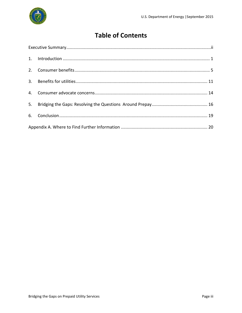## **Table of Contents**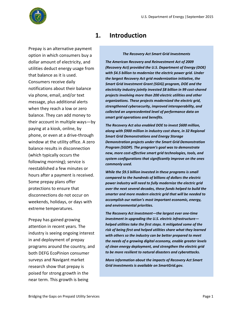

<span id="page-4-0"></span>Prepay is an alternative payment option in which consumers buy a dollar amount of electricity, and utilities deduct energy usage from that balance as it is used. Consumers receive daily notifications about their balance via phone, email, and/or text message, plus additional alerts when they reach a low or zero balance. They can add money to their account in multiple ways—by paying at a kiosk, online, by phone, or even at a drive-through window at the utility office. A zero balance results in disconnection (which typically occurs the following morning); service is reestablished a few minutes or hours after a payment is received. Some prepay plans offer protections to ensure that disconnections do not occur on weekends, holidays, or days with extreme temperatures.

Prepay has gained growing attention in recent years. The industry is seeing ongoing interest in and deployment of prepay programs around the country, and both DEFG EcoPinion consumer surveys and Navigant market research show that prepay is poised for strong growth in the near term. This growth is being

#### **1. Introduction**

*The Recovery Act Smart Grid Investments*

*The American Recovery and Reinvestment Act of 2009 (Recovery Act) provided the U.S. Department of Energy (DOE) with \$4.5 billion to modernize the electric power grid. Under the largest Recovery Act grid modernization initiative, the Smart Grid Investment Grant (SGIG) program, DOE and the electricity industry jointly invested \$8 billion in 99 cost-shared projects involving more than 200 electric utilities and other organizations. These projects modernized the electric grid, strengthened cybersecurity, improved interoperability, and collected an unprecedented level of performance data on smart grid operations and benefits.*

*The Recovery Act also enabled DOE to invest \$600 million, along with \$900 million in industry cost share, in 32 Regional Smart Grid Demonstrations and Energy Storage Demonstration projects under the Smart Grid Demonstration Program (SGDP). The program's goal was to demonstrate new, more cost-effective smart grid technologies, tools, and system configurations that significantly improve on the ones commonly used.*

*While the \$9.5 billion invested in these programs is small compared to the hundreds of billions of dollars the electric power industry will need to fully modernize the electric grid over the next several decades, these funds helped to build the smarter and more modern electric grid that will be needed to accomplish our nation's most important economic, energy, and environmental priorities.* 

*The Recovery Act investment—the largest ever one-time investment in upgrading the U.S. electric infrastructure helped utilities take the first steps. It mitigated some of the risk of being first and helped utilities share what they learned with others so the industry can be better prepared to meet the needs of a growing digital economy, enable greater levels of clean energy deployment, and strengthen the electric grid to be more resilient to natural disasters and cyberattacks.* 

*More information about the impacts of Recovery Act Smart Grid investments is available on SmartGrid.gov.*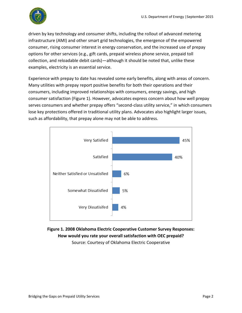

driven by key technology and consumer shifts, including the rollout of advanced metering infrastructure (AMI) and other smart grid technologies, the emergence of the empowered consumer, rising consumer interest in energy conservation, and the increased use of prepay options for other services (e.g., gift cards, prepaid wireless phone service, prepaid toll collection, and reloadable debit cards)—although it should be noted that, unlike these examples, electricity is an essential service.

Experience with prepay to date has revealed some early benefits, along with areas of concern. Many utilities with prepay report positive benefits for both their operations and their consumers, including improved relationships with consumers, energy savings, and high consumer satisfaction (Figure 1). However, advocates express concern about how well prepay serves consumers and whether prepay offers "second-class utility service," in which consumers lose key protections offered in traditional utility plans. Advocates also highlight larger issues, such as affordability, that prepay alone may not be able to address.



**Figure 1. 2008 Oklahoma Electric Cooperative Customer Survey Responses: How would you rate your overall satisfaction with OEC prepaid?** Source: Courtesy of Oklahoma Electric Cooperative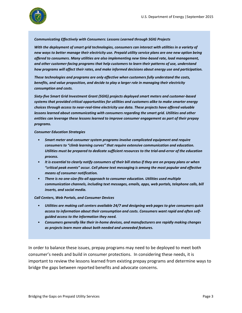

#### *Communicating Effectively with Consumers: Lessons Learned through SGIG Projects*

*With the deployment of smart grid technologies, consumers can interact with utilities in a variety of new ways to better manage their electricity use. Prepaid utility service plans are one new option being offered to consumers. Many utilities are also implementing new time-based rate, load management, and other customer-facing programs that help customers to learn their patterns of use, understand how programs will affect their rates, and make informed decisions about energy use and participation.*

*These technologies and programs are only effective when customers fully understand the costs, benefits, and value proposition, and decide to play a larger role in managing their electricity consumption and costs.*

*Sixty-five Smart Grid Investment Grant (SGIG) projects deployed smart meters and customer-based systems that provided critical opportunities for utilities and customers alike to make smarter energy choices through access to near-real-time electricity use data. These projects have offered valuable lessons learned about communicating with consumers regarding the smart grid. Utilities and other entities can leverage these lessons learned to improve consumer engagement as part of their prepay programs.* 

#### *Consumer Education Strategies*

- *Smart meter and consumer system programs involve complicated equipment and require consumers to "climb learning curves" that require extensive communication and education. Utilities must be prepared to dedicate sufficient resources to the trial-and-error of the education process.*
- *It is essential to clearly notify consumers of their bill status if they are on prepay plans or when "critical peak events" occur. Cell phone text messaging is among the most popular and effective means of consumer notification.*
- *There is no one-size-fits-all approach to consumer education. Utilities used multiple communication channels, including text messages, emails, apps, web portals, telephone calls, bill inserts, and social media.*

#### *Call Centers, Web Portals, and Consumer Devices*

- *Utilities are making call centers available 24/7 and designing web pages to give consumers quick access to information about their consumption and costs. Consumers want rapid and often selfguided access to the information they need.*
- *Consumers generally like their in-home devices, and manufacturers are rapidly making changes as projects learn more about both needed and unneeded features.*

In order to balance these issues, prepay programs may need to be deployed to meet both consumer's needs and build in consumer protections. In considering these needs, it is important to review the lessons learned from existing prepay programs and determine ways to bridge the gaps between reported benefits and advocate concerns.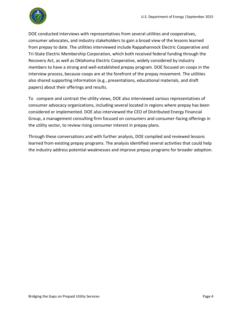

DOE conducted interviews with representatives from several utilities and cooperatives, consumer advocates, and industry stakeholders to gain a broad view of the lessons learned from prepay to date. The utilities interviewed include Rappahannock Electric Cooperative and Tri-State Electric Membership Corporation, which both received federal funding through the Recovery Act, as well as Oklahoma Electric Cooperative, widely considered by industry members to have a strong and well-established prepay program. DOE focused on coops in the interview process, because coops are at the forefront of the prepay movement. The utilities also shared supporting information (e.g., presentations, educational materials, and draft papers) about their offerings and results.

To compare and contrast the utility views, DOE also interviewed various representatives of consumer advocacy organizations, including several located in regions where prepay has been considered or implemented. DOE also interviewed the CEO of Distributed Energy Financial Group, a management consulting firm focused on consumers and consumer-facing offerings in the utility sector, to review rising consumer interest in prepay plans.

Through these conversations and with further analysis, DOE compiled and reviewed lessons learned from existing prepay programs. The analysis identified several activities that could help the industry address potential weaknesses and improve prepay programs for broader adoption.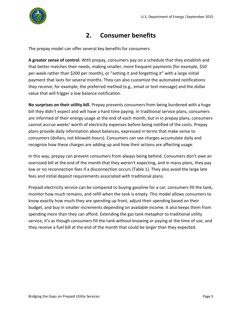

### **2. Consumer benefits**

<span id="page-8-0"></span>The prepay model can offer several key benefits for consumers.

**A greater sense of control.** With prepay, consumers pay on a schedule that they establish and that better matches their needs, making smaller, more frequent payments (for example, \$50 per week rather than \$200 per month), or "setting it and forgetting it" with a large initial payment that lasts for several months. They can also customize the automated notifications they receive; for example, the preferred method (e.g., email or text message) and the dollar value that will trigger a low balance notification.

**No surprises on their utility bill.** Prepay prevents consumers from being burdened with a huge bill they didn't expect and will have a hard time paying. In traditional service plans, consumers are informed of their energy usage at the end of each month, but in in prepay plans, consumers cannot accrue weeks' worth of electricity expenses before being notified of the costs. Prepay plans provide daily information about balances, expressed in terms that make sense to consumers (dollars, not kilowatt-hours). Consumers can see charges accumulate daily and recognize how these charges are adding up and how their actions are affecting usage.

In this way, prepay can prevent consumers from always being behind. Consumers don't owe an oversized bill at the end of the month that they weren't expecting, and in many plans, they pay low or no reconnection fees if a disconnection occurs (Table 1). They also avoid the large late fees and initial deposit requirements associated with traditional plans.

Prepaid electricity service can be compared to buying gasoline for a car; consumers fill the tank, monitor how much remains, and refill when the tank is empty. This model allows consumers to know exactly how much they are spending up front, adjust their spending based on their budget, and buy in smaller increments depending on available income. It also keeps them from spending more than they can afford. Extending the gas tank metaphor to traditional utility service, it's as though consumers fill the tank without knowing or paying at the time of use, and they receive a fuel bill at the end of the month that could be larger than they expected.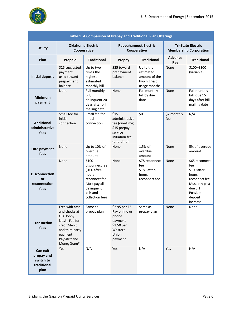

| Table 1. A Comparison of Prepay and Traditional Plan Offerings |                                                                                                                                             |                                                                                                                                 |                                                                                                    |                                                                        |                                                            |                                                                                                                                  |  |  |  |
|----------------------------------------------------------------|---------------------------------------------------------------------------------------------------------------------------------------------|---------------------------------------------------------------------------------------------------------------------------------|----------------------------------------------------------------------------------------------------|------------------------------------------------------------------------|------------------------------------------------------------|----------------------------------------------------------------------------------------------------------------------------------|--|--|--|
| <b>Utility</b>                                                 | <b>Oklahoma Electric</b><br>Cooperative                                                                                                     |                                                                                                                                 | <b>Rappahannock Electric</b><br>Cooperative                                                        |                                                                        | <b>Tri-State Electric</b><br><b>Membership Corporation</b> |                                                                                                                                  |  |  |  |
| Plan                                                           | Prepaid                                                                                                                                     | <b>Traditional</b>                                                                                                              | Prepay                                                                                             | <b>Traditional</b>                                                     | <b>Advance</b><br>Pay                                      | <b>Traditional</b>                                                                                                               |  |  |  |
| <b>Initial deposit</b>                                         | \$25 suggested<br>payment,<br>used toward<br>prepayment<br>balance                                                                          | Up to two<br>times the<br>highest<br>estimated<br>monthly bill                                                                  | \$25 toward<br>prepayment<br>balance                                                               | Up to the<br>estimated<br>amount of the<br>two highest<br>usage months | None                                                       | \$100-\$300<br>(variable)                                                                                                        |  |  |  |
| <b>Minimum</b><br>payment                                      | None                                                                                                                                        | Full monthly<br>bill;<br>delinquent 20<br>days after bill<br>mailing date                                                       | None                                                                                               | Full monthly<br>bill by due<br>date                                    | None                                                       | Full monthly<br>bill, due 15<br>days after bill<br>mailing date                                                                  |  |  |  |
| <b>Additional</b><br>administrative<br>fees                    | Small fee for<br>initial<br>connection                                                                                                      | Small fee for<br>initial<br>connection                                                                                          | \$15<br>administrative<br>fee (one-time)<br>\$15 prepay<br>service<br>initiation fee<br>(one-time) | \$0                                                                    | \$7 monthly<br>fee                                         | N/A                                                                                                                              |  |  |  |
| Late payment<br>fees                                           | None                                                                                                                                        | Up to 10% of<br>overdue<br>amount                                                                                               | None                                                                                               | 1.5% of<br>overdue<br>amount                                           | None                                                       | 5% of overdue<br>amount                                                                                                          |  |  |  |
| <b>Disconnection</b><br>or<br>reconnection<br>fees             | None                                                                                                                                        | \$100<br>disconnect fee<br>\$100 after-<br>hours<br>reconnect fee<br>Must pay all<br>delinquent<br>bills and<br>collection fees | None                                                                                               | \$78 reconnect<br>fee<br>\$181 after-<br>hours<br>reconnect fee        | None                                                       | \$65 reconnect<br>fee<br>\$100 after-<br>hours<br>reconnect fee<br>Must pay past-<br>due bill<br>Possible<br>deposit<br>increase |  |  |  |
| <b>Transaction</b><br>fees                                     | Free with cash<br>and checks at<br>OEC lobby<br>kiosk. Fee for<br>credit/debit<br>and third party<br>payment:<br>PaySite® and<br>MoneyGram® | Same as<br>prepay plan                                                                                                          | \$2.95 per EZ<br>Pay online or<br>phone<br>payment<br>\$1.50 per<br>Western<br>Union<br>payment    | Same as<br>prepay plan                                                 | None                                                       | None                                                                                                                             |  |  |  |
| Can exit<br>prepay and<br>switch to<br>traditional<br>plan     | Yes                                                                                                                                         | N/A                                                                                                                             | Yes                                                                                                | N/A                                                                    | Yes                                                        | N/A                                                                                                                              |  |  |  |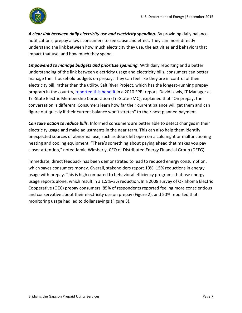

*A clear link between daily electricity use and electricity spending.* By providing daily balance notifications, prepay allows consumers to see cause and effect. They can more directly understand the link between how much electricity they use, the activities and behaviors that impact that use, and how much they spend.

*Empowered to manage budgets and prioritize spending.* With daily reporting and a better understanding of the link between electricity usage and electricity bills, consumers can better manage their household budgets on prepay. They can feel like they are in control of their electricity bill, rather than the utility. Salt River Project, which has the longest-running prepay program in the country, [reported this benefit](http://www.srpnet.com/environment/earthwise/pdfx/spp/EPRI_MPower.pdf) in a 2010 EPRI report. David Lewis, IT Manager at Tri-State Electric Membership Corporation (Tri-State EMC), explained that "On prepay, the conversation is different. Consumers learn how far their current balance will get them and can figure out quickly if their current balance won't stretch" to their next planned payment.

*Can take action to reduce bills.* Informed consumers are better able to detect changes in their electricity usage and make adjustments in the near term. This can also help them identify unexpected sources of abnormal use, such as doors left open on a cold night or malfunctioning heating and cooling equipment. "There's something about paying ahead that makes you pay closer attention," noted Jamie Wimberly, CEO of Distributed Energy Financial Group (DEFG).

Immediate, direct feedback has been demonstrated to lead to reduced energy consumption, which saves consumers money. Overall, stakeholders report 10%–15% reductions in energy usage with prepay. This is high compared to behavioral efficiency programs that use energy usage reports alone, which result in a 1.5%–3% reduction. In a 2008 survey of Oklahoma Electric Cooperative (OEC) prepay consumers, 85% of respondents reported feeling more conscientious and conservative about their electricity use on prepay (Figure 2), and 50% reported that monitoring usage had led to dollar savings (Figure 3).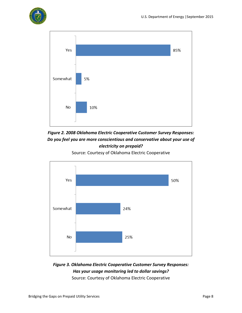



*Figure 2. 2008 Oklahoma Electric Cooperative Customer Survey Responses: Do you feel you are more conscientious and conservative about your use of electricity on prepaid?*

Source: Courtesy of Oklahoma Electric Cooperative



#### *Figure 3. Oklahoma Electric Cooperative Customer Survey Responses: Has your usage monitoring led to dollar savings?*

Source: Courtesy of Oklahoma Electric Cooperative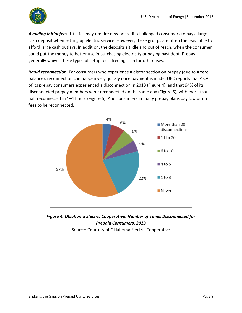

*Avoiding initial fees.* Utilities may require new or credit-challenged consumers to pay a large cash deposit when setting up electric service. However, these groups are often the least able to afford large cash outlays. In addition, the deposits sit idle and out of reach, when the consumer could put the money to better use in purchasing electricity or paying past debt. Prepay generally waives these types of setup fees, freeing cash for other uses.

*Rapid reconnection.* For consumers who experience a disconnection on prepay (due to a zero balance), reconnection can happen very quickly once payment is made. OEC reports that 43% of its prepay consumers experienced a disconnection in 2013 (Figure 4), and that 94% of its disconnected prepay members were reconnected on the same day (Figure 5), with more than half reconnected in 1–4 hours (Figure 6). And consumers in many prepay plans pay low or no fees to be reconnected.





Source: Courtesy of Oklahoma Electric Cooperative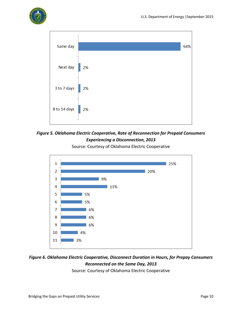





*Figure 5. Oklahoma Electric Cooperative, Rate of Reconnection for Prepaid Consumers Experiencing a Disconnection, 2013*



Source: Courtesy of Oklahoma Electric Cooperative

#### *Figure 6. Oklahoma Electric Cooperative, Disconnect Duration in Hours, for Prepay Consumers Reconnected on the Same Day, 2013*

Source: Courtesy of Oklahoma Electric Cooperative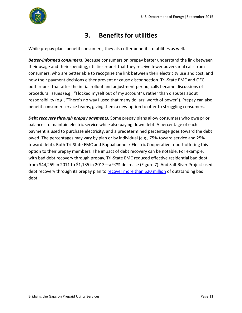

## **3. Benefits for utilities**

<span id="page-14-0"></span>While prepay plans benefit consumers, they also offer benefits to utilities as well.

*Better-informed consumers*. Because consumers on prepay better understand the link between their usage and their spending, utilities report that they receive fewer adversarial calls from consumers, who are better able to recognize the link between their electricity use and cost, and how their payment decisions either prevent or cause disconnection. Tri-State EMC and OEC both report that after the initial rollout and adjustment period, calls became discussions of procedural issues (e.g., "I locked myself out of my account"), rather than disputes about responsibility (e.g., "There's no way I used that many dollars' worth of power"). Prepay can also benefit consumer service teams, giving them a new option to offer to struggling consumers.

*Debt recovery through prepay payments.* Some prepay plans allow consumers who owe prior balances to maintain electric service while also paying down debt. A percentage of each payment is used to purchase electricity, and a predetermined percentage goes toward the debt owed. The percentages may vary by plan or by individual (e.g., 75% toward service and 25% toward debt). Both Tri-State EMC and Rappahannock Electric Cooperative report offering this option to their prepay members. The impact of debt recovery can be notable. For example, with bad debt recovery through prepay, Tri-State EMC reduced effective residential bad debt from \$44,259 in 2011 to \$1,135 in 2013—a 97% decrease (Figure 7). And Salt River Project used debt recovery through its prepay plan to [recover more than \\$20 million](https://www.chartwellinc.com/progress-energy-salt-river-project-take-top-honors-in-chartwells-2008-marketing-and-customer-service-awards/) of outstanding bad debt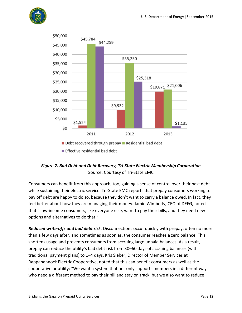



*Figure 7. Bad Debt and Debt Recovery, Tri-State Electric Membership Corporation* Source: Courtesy of Tri-State EMC

Consumers can benefit from this approach, too, gaining a sense of control over their past debt while sustaining their electric service. Tri-State EMC reports that prepay consumers working to pay off debt are happy to do so, because they don't want to carry a balance owed. In fact, they feel better about how they are managing their money. Jamie Wimberly, CEO of DEFG, noted that "Low-income consumers, like everyone else, want to pay their bills, and they need new options and alternatives to do that."

*Reduced write-offs and bad debt risk.* Disconnections occur quickly with prepay, often no more than a few days after, and sometimes as soon as, the consumer reaches a zero balance. This shortens usage and prevents consumers from accruing large unpaid balances. As a result, prepay can reduce the utility's bad debt risk from 30–60 days of accruing balances (with traditional payment plans) to 1–4 days. Kris Sieber, Director of Member Services at Rappahannock Electric Cooperative, noted that this can benefit consumers as well as the cooperative or utility: "We want a system that not only supports members in a different way who need a different method to pay their bill and stay on track, but we also want to reduce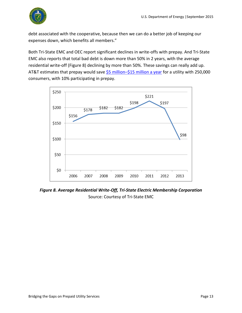

debt associated with the cooperative, because then we can do a better job of keeping our expenses down, which benefits all members."

Both Tri-State EMC and OEC report significant declines in write-offs with prepay. And Tri-State EMC also reports that total bad debt is down more than 50% in 2 years, with the average residential write-off (Figure 8) declining by more than 50%. These savings can really add up. AT&T estimates that prepay would save  $$5$  million– $$15$  million a year for a utility with 250,000 consumers, with 10% participating in prepay.



*Figure 8. Average Residential Write-Off, Tri-State Electric Membership Corporation* Source: Courtesy of Tri-State EMC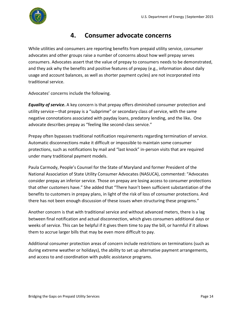

#### **4. Consumer advocate concerns**

<span id="page-17-0"></span>While utilities and consumers are reporting benefits from prepaid utility service, consumer advocates and other groups raise a number of concerns about how well prepay serves consumers. Advocates assert that the value of prepay to consumers needs to be demonstrated, and they ask why the benefits and positive features of prepay (e.g., information about daily usage and account balances, as well as shorter payment cycles) are not incorporated into traditional service.

Advocates' concerns include the following.

*Equality of service***.** A key concern is that prepay offers diminished consumer protection and utility service—that prepay is a "subprime" or secondary class of service, with the same negative connotations associated with payday loans, predatory lending, and the like**.** One advocate describes prepay as "feeling like second-class service."

Prepay often bypasses traditional notification requirements regarding termination of service. Automatic disconnections make it difficult or impossible to maintain some consumer protections, such as notifications by mail and "last knock" in-person visits that are required under many traditional payment models.

Paula Carmody, People's Counsel for the State of Maryland and former President of the National Association of State Utility Consumer Advocates (NASUCA), commented: "Advocates consider prepay an inferior service. Those on prepay are losing access to consumer protections that other customers have." She added that "There hasn't been sufficient substantiation of the benefits to customers in prepay plans, in light of the risk of loss of consumer protections. And there has not been enough discussion of these issues when structuring these programs."

Another concern is that with traditional service and without advanced meters, there is a lag between final notification and actual disconnection, which gives consumers additional days or weeks of service. This can be helpful if it gives them time to pay the bill, or harmful if it allows them to accrue larger bills that may be even more difficult to pay.

Additional consumer protection areas of concern include restrictions on terminations (such as during extreme weather or holidays), the ability to set up alternative payment arrangements, and access to and coordination with public assistance programs.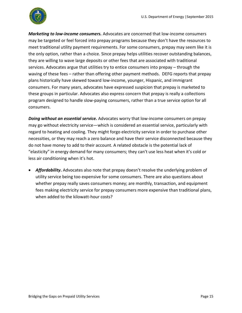

*Marketing to low-income consumers.* Advocates are concerned that low-income consumers may be targeted or feel forced into prepay programs because they don't have the resources to meet traditional utility payment requirements. For some consumers, prepay may seem like it is the only option, rather than a choice. Since prepay helps utilities recover outstanding balances, they are willing to wave large deposits or other fees that are associated with traditional services. Advocates argue that utilities try to entice consumers into prepay – through the waving of these fees – rather than offering other payment methods. DEFG reports that prepay plans historically have skewed toward low-income, younger, Hispanic, and immigrant consumers. For many years, advocates have expressed suspicion that prepay is marketed to these groups in particular. Advocates also express concern that prepay is really a collections program designed to handle slow-paying consumers, rather than a true service option for all consumers.

*Doing without an essential service.* Advocates worry that low-income consumers on prepay may go without electricity service—which is considered an essential service, particularly with regard to heating and cooling. They might forgo electricity service in order to purchase other necessities, or they may reach a zero balance and have their service disconnected because they do not have money to add to their account. A related obstacle is the potential lack of "elasticity" in energy demand for many consumers; they can't use less heat when it's cold or less air conditioning when it's hot.

 *Affordability***.** Advocates also note that prepay doesn't resolve the underlying problem of utility service being too expensive for some consumers. There are also questions about whether prepay really saves consumers money; are monthly, transaction, and equipment fees making electricity service for prepay consumers more expensive than traditional plans, when added to the kilowatt-hour costs?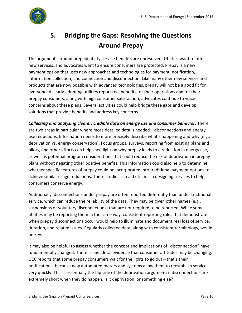

## <span id="page-19-0"></span>**5. Bridging the Gaps: Resolving the Questions Around Prepay**

The arguments around prepaid utility service benefits are unresolved. Utilities want to offer new services, and advocates want to ensure consumers are protected. Prepay is a new payment option that uses new approaches and technologies for payment, notification, information collection, and connection and disconnection. Like many other new services and products that are now possible with advanced technologies, prepay will not be a good fit for everyone. As early-adopting utilities report real benefits for their operations and for their prepay consumers, along with high consumer satisfaction, advocates continue to voice concerns about these plans. Several activities could help bridge these gaps and develop solutions that provide benefits and address key concerns.

*Collecting and analyzing clearer, credible data on energy use and consumer behavior.* There are two areas in particular where more detailed data is needed—disconnections and energy use reductions. Information needs to more precisely describe what's happening and why (e.g., deprivation vs. energy conservation). Focus groups, surveys, reporting from existing plans and pilots, and other efforts can help shed light on why prepay leads to a reduction in energy use, as well as potential program considerations that could reduce the risk of deprivation in prepay plans without negating other positive benefits. This information could also help to determine whether specific features of prepay could be incorporated into traditional payment options to achieve similar usage reductions. These studies can aid utilities in designing services to help consumers conserve energy.

Additionally, disconnections under prepay are often reported differently than under traditional service, which can reduce the reliability of the data. They may be given other names (e.g., suspensions or voluntary disconnections) that are not required to be reported. While some utilities may be reporting them in the same way, consistent reporting rules that demonstrate when prepay disconnections occur would help to illuminate and document real loss of service, duration, and related issues. Regularly collected data, along with consistent terminology, would be key.

It may also be helpful to assess whether the concept and implications of "disconnection" have fundamentally changed. There is anecdotal evidence that consumer attitudes may be changing. OEC reports that some prepay consumers wait for the lights to go out—that's their notification—because new automated meters and systems allow them to reestablish service very quickly. This is essentially the flip side of the deprivation argument; if disconnections are extremely short when they do happen, is it deprivation, or something else?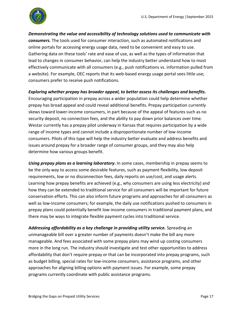

*Demonstrating the value and accessibility of technology solutions used to communicate with consumers.* The tools used for consumer interaction, such as automated notifications and online portals for accessing energy usage data, need to be convenient and easy to use*.* Gathering data on these tools' rate and ease of use, as well as the types of information that lead to changes in consumer behavior, can help the industry better understand how to most effectively communicate with all consumers (e.g., push notifications vs. information pulled from a website). For example, OEC reports that its web-based energy usage portal sees little use; consumers prefer to receive push notifications.

#### *Exploring whether prepay has broader appeal, to better assess its challenges and benefits.*

Encouraging participation in prepay across a wider population could help determine whether prepay has broad appeal and could reveal additional benefits. Prepay participation currently skews toward lower-income consumers, in part because of the appeal of features such as no security deposit, no connection fees, and the ability to pay down prior balances over time. Westar currently has a prepay pilot underway in Kansas that requires participation by a wide range of income types and cannot include a disproportionate number of low-income consumers. Pilots of this type will help the industry better evaluate and address benefits and issues around prepay for a broader range of consumer groups, and they may also help determine how various groups benefit.

*Using prepay plans as a learning laboratory***.** In some cases, membership in prepay seems to be the only way to access some desirable features, such as payment flexibility, low deposit requirements, low or no disconnection fees, daily reports on use/cost, and usage alerts. Learning how prepay benefits are achieved (e.g., why consumers are using less electricity) and how they can be extended to traditional service for all consumers will be important for future conservation efforts. This can also inform future programs and approaches for all consumers as well as low-income consumers; for example, the daily use notifications pushed to consumers in prepay plans could potentially benefit low-income consumers in traditional payment plans, and there may be ways to integrate flexible payment cycles into traditional service.

Addressing affordability as a key challenge in providing utility service. Spreading an unmanageable bill over a greater number of payments doesn't make the bill any more manageable. And fees associated with some prepay plans may wind up costing consumers more in the long run. The industry should investigate and test other opportunities to address affordability that don't require prepay or that can be incorporated into prepay programs, such as budget billing, special rates for low-income consumers, assistance programs, and other approaches for aligning billing options with payment issues. For example, some prepay programs currently coordinate with public assistance programs.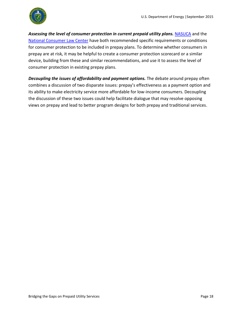Assessing the level of consumer protection in current prepaid utility plans. [NASUCA](http://nasuca.org/urging-states-to-require-consumer-protections-as-a-condition-for-approval-of-prepaid-residential-gas-and-electric-service-2011-03/) and the [National Consumer Law Center](http://www.nlrc.aoa.gov/NLRC/Docs/Rethinking_Prepaid_Utility_Service_(National_Consumer_Law_Center_2012).pdf) have both recommended specific requirements or conditions for consumer protection to be included in prepay plans. To determine whether consumers in prepay are at risk*,* it may be helpful to create a consumer protection scorecard or a similar device, building from these and similar recommendations, and use it to assess the level of consumer protection in existing prepay plans.

**Decoupling the issues of affordability and payment options.** The debate around prepay often combines a discussion of two disparate issues: prepay's effectiveness as a payment option and its ability to make electricity service more affordable for low-income consumers. Decoupling the discussion of these two issues could help facilitate dialogue that may resolve opposing views on prepay and lead to better program designs for both prepay and traditional services.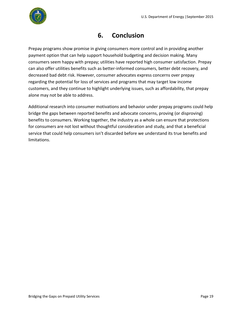

### **6. Conclusion**

<span id="page-22-0"></span>Prepay programs show promise in giving consumers more control and in providing another payment option that can help support household budgeting and decision making. Many consumers seem happy with prepay; utilities have reported high consumer satisfaction. Prepay can also offer utilities benefits such as better-informed consumers, better debt recovery, and decreased bad debt risk. However, consumer advocates express concerns over prepay regarding the potential for loss of services and programs that may target low income customers, and they continue to highlight underlying issues, such as affordability, that prepay alone may not be able to address.

Additional research into consumer motivations and behavior under prepay programs could help bridge the gaps between reported benefits and advocate concerns, proving (or disproving) benefits to consumers. Working together, the industry as a whole can ensure that protections for consumers are not lost without thoughtful consideration and study, and that a beneficial service that could help consumers isn't discarded before we understand its true benefits and limitations.